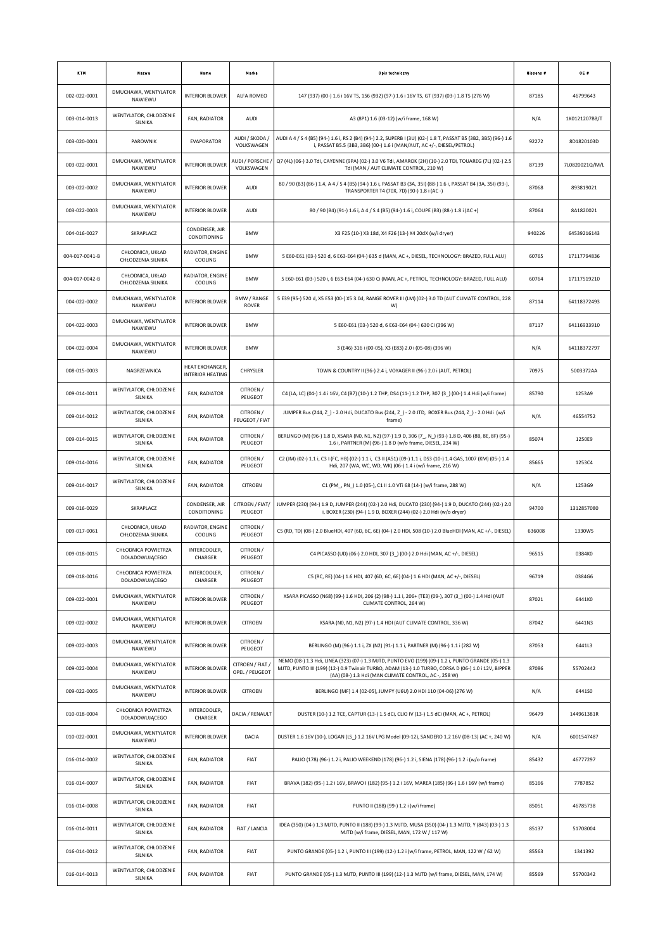| KTM            | <b>Nazwa</b>                           | Name                                              | Marka                              | Opis techniczny                                                                                                                                                                                                                                                      | Nissens # | OE #           |
|----------------|----------------------------------------|---------------------------------------------------|------------------------------------|----------------------------------------------------------------------------------------------------------------------------------------------------------------------------------------------------------------------------------------------------------------------|-----------|----------------|
| 002-022-0001   | DMUCHAWA, WENTYLATOR<br>NAWIEWU        | <b>INTERIOR BLOWER</b>                            | ALFA ROMEO                         | 147 (937) (00-) 1.6 i 16V TS, 156 (932) (97-) 1.6 i 16V TS, GT (937) (03-) 1.8 TS (276 W)                                                                                                                                                                            | 87185     | 46799643       |
| 003-014-0013   | WENTYLATOR, CHŁODZENIE<br>SILNIKA      | FAN, RADIATOR                                     | AUDI                               | A3 (8P1) 1.6 (03-12) (w/i frame, 168 W)                                                                                                                                                                                                                              | N/A       | 1K0121207BB/T  |
| 003-020-0001   | PAROWNIK                               | <b>EVAPORATOR</b>                                 | AUDI / SKODA /<br>VOLKSWAGEN       | AUDI A 4 / S 4 (B5) (94-) 1.6 i, RS 2 (B4) (94-) 2.2, SUPERB I (3U) (02-) 1.8 T, PASSAT B5 (3B2, 3B5) (96-) 1.6<br>i, PASSAT B5.5 (3B3, 3B6) (00-) 1.6 i (MAN/AUT, AC +/-, DIESEL/PETROL)                                                                            | 92272     | 8D1820103D     |
| 003-022-0001   | DMUCHAWA, WENTYLATOR<br>NAWIEWU        | <b>INTERIOR BLOWER</b>                            | AUDI / PORSCHE /<br>VOLKSWAGEN     | Q7 (4L) (06-) 3.0 Tdi, CAYENNE (9PA) (02-) 3.0 V6 Tdi, AMAROK (2H) (10-) 2.0 TDI, TOUAREG (7L) (02-) 2.5<br>Tdi (MAN / AUT CLIMATE CONTROL, 210 W)                                                                                                                   | 87139     | 7L0820021Q/M/L |
| 003-022-0002   | DMUCHAWA, WENTYLATOR<br>NAWIEWU        | <b>INTERIOR BLOWER</b>                            | AUDI                               | 80 / 90 (B3) (86-) 1.4, A 4 / S 4 (B5) (94-) 1.6 i, PASSAT B3 (3A, 35I) (88-) 1.6 i, PASSAT B4 (3A, 35I) (93-),<br>TRANSPORTER T4 (70X, 7D) (90-) 1.8 i (AC -)                                                                                                       | 87068     | 893819021      |
| 003-022-0003   | DMUCHAWA, WENTYLATOR<br>NAWIEWU        | <b>INTERIOR BLOWER</b>                            | AUDI                               | 80 / 90 (B4) (91-) 1.6 i, A 4 / S 4 (B5) (94-) 1.6 i, COUPE (B3) (88-) 1.8 i (AC +)                                                                                                                                                                                  | 87064     | 8A1820021      |
| 004-016-0027   | SKRAPLACZ                              | CONDENSER, AIR<br>CONDITIONING                    | <b>BMW</b>                         | X3 F25 (10-) X3 18d, X4 F26 (13-) X4 20dX (w/i dryer)                                                                                                                                                                                                                | 940226    | 64539216143    |
| 004-017-0041-B | CHŁODNICA, UKŁAD<br>CHŁODZENIA SILNIKA | RADIATOR, ENGINE<br>COOLING                       | <b>BMW</b>                         | 5 E60-E61 (03-) 520 d, 6 E63-E64 (04-) 635 d (MAN, AC +, DIESEL, TECHNOLOGY: BRAZED, FULL ALU)                                                                                                                                                                       | 60765     | 17117794836    |
| 004-017-0042-B | CHŁODNICA, UKŁAD<br>CHŁODZENIA SILNIKA | RADIATOR, ENGINE<br><b>COOLING</b>                | <b>BMW</b>                         | 5 E60-E61 (03-) 520 i, 6 E63-E64 (04-) 630 Ci (MAN, AC +, PETROL, TECHNOLOGY: BRAZED, FULL ALU)                                                                                                                                                                      | 60764     | 17117519210    |
| 004-022-0002   | DMUCHAWA, WENTYLATOR<br>NAWIEWU        | <b>INTERIOR BLOWER</b>                            | BMW / RANGE<br><b>ROVER</b>        | 5 E39 (95-) 520 d, X5 E53 (00-) X5 3.0d, RANGE ROVER III (LM) (02-) 3.0 TD (AUT CLIMATE CONTROL, 228<br>W)                                                                                                                                                           | 87114     | 64118372493    |
| 004-022-0003   | DMUCHAWA, WENTYLATOR<br>NAWIEWU        | <b>INTERIOR BLOWER</b>                            | <b>BMW</b>                         | 5 E60-E61 (03-) 520 d, 6 E63-E64 (04-) 630 Ci (396 W)                                                                                                                                                                                                                | 87117     | 64116933910    |
| 004-022-0004   | DMUCHAWA, WENTYLATOR<br>NAWIEWU        | <b>INTERIOR BLOWER</b>                            | <b>BMW</b>                         | 3 (E46) 316 i (00-05), X3 (E83) 2.0 i (05-08) (396 W)                                                                                                                                                                                                                | N/A       | 64118372797    |
| 008-015-0003   | NAGRZEWNICA                            | <b>HEAT EXCHANGER.</b><br><b>INTERIOR HEATING</b> | CHRYSLER                           | TOWN & COUNTRY II (96-) 2.4 i, VOYAGER II (96-) 2.0 i (AUT, PETROL)                                                                                                                                                                                                  | 70975     | 5003372AA      |
| 009-014-0011   | WENTYLATOR, CHŁODZENIE<br>SILNIKA      | FAN, RADIATOR                                     | CITROEN /<br>PEUGEOT               | C4 (LA, LC) (04-) 1.4 i 16V, C4 (B7) (10-) 1.2 THP, DS4 (11-) 1.2 THP, 307 (3_) (00-) 1.4 Hdi (w/i frame)                                                                                                                                                            | 85790     | 1253A9         |
| 009-014-0012   | WENTYLATOR, CHŁODZENIE<br>SILNIKA      | FAN, RADIATOR                                     | CITROEN /<br>PEUGEOT / FIAT        | JUMPER Bus (244, Z_) - 2.0 Hdi, DUCATO Bus (244, Z_) - 2.0 JTD, BOXER Bus (244, Z_) - 2.0 Hdi (w/i<br>frame)                                                                                                                                                         | N/A       | 46554752       |
| 009-014-0015   | WENTYLATOR, CHŁODZENIE<br>SILNIKA      | FAN, RADIATOR                                     | CITROEN /<br>PEUGEOT               | BERLINGO (M) (96-) 1.8 D, XSARA (N0, N1, N2) (97-) 1.9 D, 306 (7_, N_) (93-) 1.8 D, 406 (8B, 8E, 8F) (95-)<br>1.6 i, PARTNER (M) (96-) 1.8 D (w/o frame, DIESEL, 234 W)                                                                                              | 85074     | 1250E9         |
| 009-014-0016   | WENTYLATOR, CHŁODZENIE<br>SILNIKA      | FAN, RADIATOR                                     | CITROEN /<br>PEUGEOT               | C2 (JM) (02-) 1.1 i, C3 I (FC, HB) (02-) 1.1 i, C3 II (A51) (09-) 1.1 i, DS3 (10-) 1.4 GAS, 1007 (KM) (05-) 1.4<br>Hdi, 207 (WA, WC, WD, WK) (06-) 1.4 i (w/i frame, 216 W)                                                                                          | 85665     | 1253C4         |
| 009-014-0017   | WENTYLATOR, CHŁODZENIE<br>SILNIKA      | FAN, RADIATOR                                     | <b>CITROEN</b>                     | C1 (PM_, PN_) 1.0 (05-), C1 II 1.0 VTi 68 (14-) (w/i frame, 288 W)                                                                                                                                                                                                   | N/A       | 1253G9         |
| 009-016-0029   | SKRAPLACZ                              | CONDENSER, AIR<br>CONDITIONING                    | CITROEN / FIAT/<br>PEUGEOT         | JUMPER (230) (94-) 1.9 D, JUMPER (244) (02-) 2.0 Hdi, DUCATO (230) (94-) 1.9 D, DUCATO (244) (02-) 2.0<br>i, BOXER (230) (94-) 1.9 D, BOXER (244) (02-) 2.0 Hdi (w/o dryer)                                                                                          | 94700     | 1312857080     |
| 009-017-0061   | CHŁODNICA, UKŁAD<br>CHŁODZENIA SILNIKA | RADIATOR, ENGINE<br>COOLING                       | CITROEN /<br>PEUGEOT               | C5 (RD, TD) (08-) 2.0 BlueHDI, 407 (6D, 6C, 6E) (04-) 2.0 HDI, 508 (10-) 2.0 BlueHDI (MAN, AC +/-, DIESEL)                                                                                                                                                           | 636008    | 1330W5         |
| 009-018-0015   | CHŁODNICA POWIETRZA<br>DOŁADOWUJĄCEGO  | INTERCOOLER,<br>CHARGER                           | CITROEN /<br>PEUGEOT               | C4 PICASSO (UD) (06-) 2.0 HDI, 307 (3_) (00-) 2.0 Hdi (MAN, AC +/-, DIESEL)                                                                                                                                                                                          | 96515     | 0384K0         |
| 009-018-0016   | CHŁODNICA POWIETRZA<br>DOŁADOWUJĄCEGO  | INTERCOOLER,<br>CHARGER                           | CITROEN /<br>PEUGEOT               | C5 (RC, RE) (04-) 1.6 HDI, 407 (6D, 6C, 6E) (04-) 1.6 HDI (MAN, AC +/-, DIESEL)                                                                                                                                                                                      | 96719     | 0384G6         |
| 009-022-0001   | DMUCHAWA, WENTYLATOR<br>NAWIEWU        | <b>INTERIOR BLOWER</b>                            | CITROEN /<br>PEUGEOT               | XSARA PICASSO (N68) (99-) 1.6 HDI, 206 (2) (98-) 1.1 i, 206+ (TE3) (09-), 307 (3_) (00-) 1.4 Hdi (AUT<br>CLIMATE CONTROL, 264 W)                                                                                                                                     | 87021     | 6441K0         |
| 009-022-0002   | DMUCHAWA, WENTYLATOR<br>NAWIEWU        | <b>INTERIOR BLOWER</b>                            | <b>CITROEN</b>                     | XSARA (N0, N1, N2) (97-) 1.4 HDI (AUT CLIMATE CONTROL, 336 W)                                                                                                                                                                                                        | 87042     | 6441N3         |
| 009-022-0003   | DMUCHAWA, WENTYLATOR<br>NAWIEWU        | <b>INTERIOR BLOWER</b>                            | CITROEN /<br>PEUGEOT               | BERLINGO (M) (96-) 1.1 i, ZX (N2) (91-) 1.1 i, PARTNER (M) (96-) 1.1 i (282 W)                                                                                                                                                                                       | 87053     | 6441L3         |
| 009-022-0004   | DMUCHAWA, WENTYLATOR<br>NAWIEWU        | <b>INTERIOR BLOWER</b>                            | CITROEN / FIAT /<br>OPEL / PEUGEOT | NEMO (08-) 1.3 Hdi, LINEA (323) (07-) 1.3 MJTD, PUNTO EVO (199) (09-) 1.2 i, PUNTO GRANDE (05-) 1.3<br>MJTD, PUNTO III (199) (12-) 0.9 Twinair TURBO, ADAM (13-) 1.0 TURBO, CORSA D (06-) 1.0 i 12V, BIPPER<br>(AA) (08-) 1.3 Hdi (MAN CLIMATE CONTROL, AC -, 258 W) | 87086     | 55702442       |
| 009-022-0005   | DMUCHAWA, WENTYLATOR<br>NAWIEWU        | <b>INTERIOR BLOWER</b>                            | <b>CITROEN</b>                     | BERLINGO (MF) 1.4 (02-05), JUMPY (U6U) 2.0 HDi 110 (04-06) (276 W)                                                                                                                                                                                                   | N/A       | 6441S0         |
| 010-018-0004   | CHŁODNICA POWIETRZA<br>DOŁADOWUJĄCEGO  | INTERCOOLER,<br>CHARGER                           | DACIA / RENAULT                    | DUSTER (10-) 1.2 TCE, CAPTUR (13-) 1.5 dCi, CLIO IV (13-) 1.5 dCi (MAN, AC +, PETROL)                                                                                                                                                                                | 96479     | 144961381R     |
| 010-022-0001   | DMUCHAWA, WENTYLATOR<br>NAWIEWU        | <b>INTERIOR BLOWER</b>                            | DACIA                              | DUSTER 1.6 16V (10-), LOGAN (LS_) 1.2 16V LPG Model (09-12), SANDERO 1.2 16V (08-13) (AC +, 240 W)                                                                                                                                                                   | N/A       | 6001547487     |
| 016-014-0002   | WENTYLATOR, CHŁODZENIE<br>SILNIKA      | FAN, RADIATOR                                     | FIAT                               | PALIO (178) (96-) 1.2 i, PALIO WEEKEND (178) (96-) 1.2 i, SIENA (178) (96-) 1.2 i (w/o frame)                                                                                                                                                                        | 85432     | 46777297       |
| 016-014-0007   | WENTYLATOR, CHŁODZENIE<br>SILNIKA      | FAN, RADIATOR                                     | FIAT                               | BRAVA (182) (95-) 1.2 i 16V, BRAVO I (182) (95-) 1.2 i 16V, MAREA (185) (96-) 1.6 i 16V (w/i frame)                                                                                                                                                                  | 85166     | 7787852        |
| 016-014-0008   | WENTYLATOR, CHŁODZENIE<br>SILNIKA      | FAN, RADIATOR                                     | FIAT                               | PUNTO II (188) (99-) 1.2 i (w/i frame)                                                                                                                                                                                                                               | 85051     | 46785738       |
| 016-014-0011   | WENTYLATOR, CHŁODZENIE<br>SILNIKA      | FAN, RADIATOR                                     | FIAT / LANCIA                      | IDEA (350) (04-) 1.3 MJTD, PUNTO II (188) (99-) 1.3 MJTD, MUSA (350) (04-) 1.3 MJTD, Y (843) (03-) 1.3<br>MJTD (w/i frame, DIESEL, MAN, 172 W / 117 W)                                                                                                               | 85137     | 51708004       |
| 016-014-0012   | WENTYLATOR, CHŁODZENIE<br>SILNIKA      | FAN, RADIATOR                                     | FIAT                               | PUNTO GRANDE (05-) 1.2 i, PUNTO III (199) (12-) 1.2 i (w/i frame, PETROL, MAN, 122 W / 62 W)                                                                                                                                                                         | 85563     | 1341392        |
| 016-014-0013   | WENTYLATOR, CHŁODZENIE<br>SILNIKA      | FAN, RADIATOR                                     | FIAT                               | PUNTO GRANDE (05-) 1.3 MJTD, PUNTO III (199) (12-) 1.3 MJTD (w/i frame, DIESEL, MAN, 174 W)                                                                                                                                                                          | 85569     | 55700342       |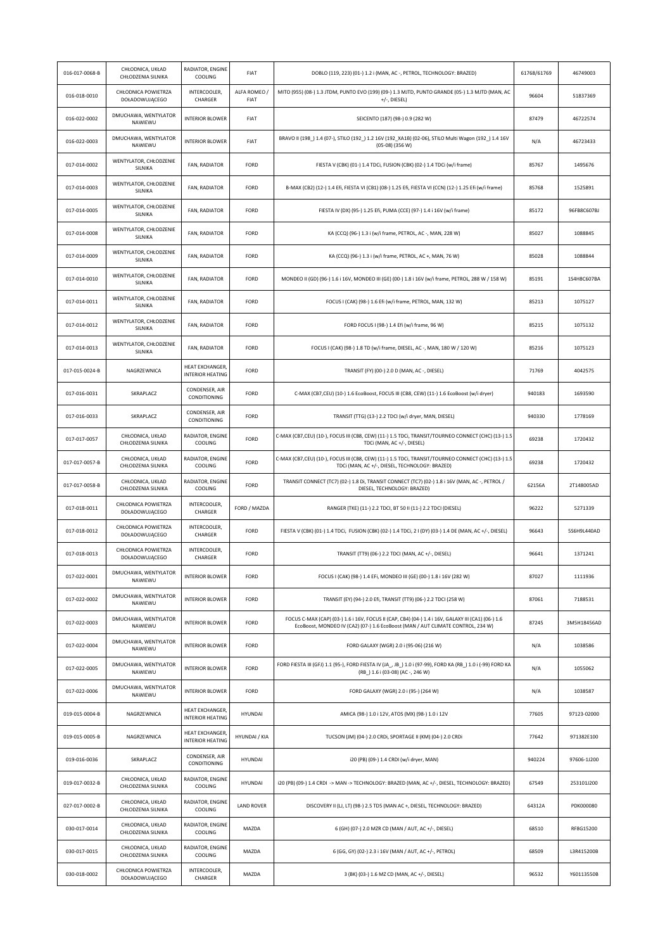| 016-017-0068-B | CHŁODNICA, UKŁAD<br>CHŁODZENIA SILNIKA | RADIATOR, ENGINE<br>COOLING                      | FIAT                        | DOBLO (119, 223) (01-) 1.2 i (MAN, AC -, PETROL, TECHNOLOGY: BRAZED)                                                                                                                  | 61768/61769 | 46749003    |
|----------------|----------------------------------------|--------------------------------------------------|-----------------------------|---------------------------------------------------------------------------------------------------------------------------------------------------------------------------------------|-------------|-------------|
| 016-018-0010   | CHŁODNICA POWIETRZA<br>DOŁADOWUJĄCEGO  | INTERCOOLER,<br>CHARGER                          | ALFA ROMEO /<br><b>FIAT</b> | MITO (955) (08-) 1.3 JTDM, PUNTO EVO (199) (09-) 1.3 MJTD, PUNTO GRANDE (05-) 1.3 MJTD (MAN, AC<br>$+/-$ , DIESEL)                                                                    | 96604       | 51837369    |
| 016-022-0002   | DMUCHAWA, WENTYLATOR<br>NAWIEWU        | <b>INTERIOR BLOWER</b>                           | FIAT                        | SEICENTO (187) (98-) 0.9 (282 W)                                                                                                                                                      | 87479       | 46722574    |
| 016-022-0003   | DMUCHAWA, WENTYLATOR<br>NAWIEWU        | <b>INTERIOR BLOWER</b>                           | <b>FIAT</b>                 | BRAVO II (198_) 1.4 (07-), STILO (192_) 1.2 16V (192_XA1B) (02-06), STILO Multi Wagon (192_) 1.4 16V<br>$(05-08)$ (356 W)                                                             | N/A         | 46723433    |
| 017-014-0002   | WENTYLATOR, CHŁODZENIE<br>SILNIKA      | FAN, RADIATOR                                    | FORD                        | FIESTA V (CBK) (01-) 1.4 TDCi, FUSION (CBK) (02-) 1.4 TDCi (w/i frame)                                                                                                                | 85767       | 1495676     |
| 017-014-0003   | WENTYLATOR, CHŁODZENIE<br>SILNIKA      | FAN, RADIATOR                                    | FORD                        | B-MAX (CB2) (12-) 1.4 Efi, FIESTA VI (CB1) (08-) 1.25 Efi, FIESTA VI (CCN) (12-) 1.25 Efi (w/i frame)                                                                                 | 85768       | 1525891     |
| 017-014-0005   | WENTYLATOR, CHŁODZENIE<br>SILNIKA      | FAN, RADIATOR                                    | FORD                        | FIESTA IV (DX) (95-) 1.25 Efi, PUMA (CCE) (97-) 1.4 i 16V (w/i frame)                                                                                                                 | 85172       | 96FB8C607BJ |
| 017-014-0008   | WENTYLATOR, CHŁODZENIE<br>SILNIKA      | FAN, RADIATOR                                    | FORD                        | KA (CCQ) (96-) 1.3 i (w/i frame, PETROL, AC -, MAN, 228 W)                                                                                                                            | 85027       | 1088845     |
| 017-014-0009   | WENTYLATOR, CHŁODZENIE<br>SILNIKA      | FAN, RADIATOR                                    | FORD                        | KA (CCQ) (96-) 1.3 i (w/i frame, PETROL, AC +, MAN, 76 W)                                                                                                                             | 85028       | 1088844     |
| 017-014-0010   | WENTYLATOR, CHŁODZENIE<br>SILNIKA      | FAN, RADIATOR                                    | FORD                        | MONDEO II (GD) (96-) 1.6 i 16V, MONDEO III (GE) (00-) 1.8 i 16V (w/i frame, PETROL, 288 W / 158 W)                                                                                    | 85191       | 1S4H8C607BA |
| 017-014-0011   | WENTYLATOR, CHŁODZENIE<br>SILNIKA      | FAN, RADIATOR                                    | FORD                        | FOCUS I (CAK) (98-) 1.6 Efi (w/i frame, PETROL, MAN, 132 W)                                                                                                                           | 85213       | 1075127     |
| 017-014-0012   | WENTYLATOR, CHŁODZENIE<br>SILNIKA      | FAN, RADIATOR                                    | FORD                        | FORD FOCUS I (98-) 1.4 Efi (w/i frame, 96 W)                                                                                                                                          | 85215       | 1075132     |
| 017-014-0013   | WENTYLATOR, CHŁODZENIE<br>SILNIKA      | FAN, RADIATOR                                    | FORD                        | FOCUS I (CAK) (98-) 1.8 TD (w/i frame, DIESEL, AC -, MAN, 180 W / 120 W)                                                                                                              | 85216       | 1075123     |
| 017-015-0024-B | NAGRZEWNICA                            | <b>HEAT EXCHANGER</b><br><b>INTERIOR HEATING</b> | FORD                        | TRANSIT (FY) (00-) 2.0 D (MAN, AC -, DIESEL)                                                                                                                                          | 71769       | 4042575     |
| 017-016-0031   | SKRAPLACZ                              | CONDENSER, AIR<br>CONDITIONING                   | FORD                        | C-MAX (CB7,CEU) (10-) 1.6 EcoBoost, FOCUS III (CB8, CEW) (11-) 1.6 EcoBoost (w/i dryer)                                                                                               | 940183      | 1693590     |
| 017-016-0033   | SKRAPLACZ                              | CONDENSER, AIR<br>CONDITIONING                   | FORD                        | TRANSIT (TTG) (13-) 2.2 TDCI (w/i dryer, MAN, DIESEL)                                                                                                                                 | 940330      | 1778169     |
| 017-017-0057   | CHŁODNICA, UKŁAD<br>CHŁODZENIA SILNIKA | RADIATOR, ENGINE<br>COOLING                      | FORD                        | C-MAX (CB7,CEU) (10-), FOCUS III (CB8, CEW) (11-) 1.5 TDCi, TRANSIT/TOURNEO CONNECT (CHC) (13-) 1.5<br>TDCi (MAN, AC +/-, DIESEL)                                                     | 69238       | 1720432     |
| 017-017-0057-B | CHŁODNICA, UKŁAD<br>CHŁODZENIA SILNIKA | RADIATOR, ENGINE<br>COOLING                      | FORD                        | C-MAX (CB7,CEU) (10-), FOCUS III (CB8, CEW) (11-) 1.5 TDCi, TRANSIT/TOURNEO CONNECT (CHC) (13-) 1.5<br>TDCi (MAN, AC +/-, DIESEL, TECHNOLOGY: BRAZED)                                 | 69238       | 1720432     |
| 017-017-0058-B | CHŁODNICA, UKŁAD<br>CHŁODZENIA SILNIKA | RADIATOR, ENGINE<br>COOLING                      | FORD                        | TRANSIT CONNECT (TC7) (02-) 1.8 Di, TRANSIT CONNECT (TC7) (02-) 1.8 i 16V (MAN, AC-, PETROL /<br>DIESEL, TECHNOLOGY: BRAZED)                                                          | 62156A      | 2T148005AD  |
| 017-018-0011   | CHŁODNICA POWIETRZA<br>DOŁADOWUJĄCEGO  | INTERCOOLER,<br>CHARGER                          | FORD / MAZDA                | RANGER (TKE) (11-) 2.2 TDCI, BT 50 II (11-) 2.2 TDCI (DIESEL)                                                                                                                         | 96222       | 5271339     |
| 017-018-0012   | CHŁODNICA POWIETRZA<br>DOŁADOWUJĄCEGO  | INTERCOOLER,<br>CHARGER                          | FORD                        | FIESTA V (CBK) (01-) 1.4 TDCi, FUSION (CBK) (02-) 1.4 TDCi, 2 I (DY) (03-) 1.4 DE (MAN, AC +/-, DIESEL)                                                                               | 96643       | 5S6H9L440AD |
| 017-018-0013   | CHŁODNICA POWIETRZA<br>DOŁADOWUJĄCEGO  | INTERCOOLER,<br>CHARGER                          | FORD                        | TRANSIT (TT9) (06-) 2.2 TDCI (MAN, AC +/-, DIESEL)                                                                                                                                    | 96641       | 1371241     |
| 017-022-0001   | DMUCHAWA, WENTYLATOR<br>NAWIEWU        | <b>INTERIOR BLOWER</b>                           | FORD                        | FOCUS I (CAK) (98-) 1.4 EFi, MONDEO III (GE) (00-) 1.8 i 16V (282 W)                                                                                                                  | 87027       | 1111936     |
| 017-022-0002   | DMUCHAWA, WENTYLATOR<br>NAWIEWU        | <b>INTERIOR BLOWER</b>                           | FORD                        | TRANSIT (EY) (94-) 2.0 Efi, TRANSIT (TT9) (06-) 2.2 TDCI (258 W)                                                                                                                      | 87061       | 7188531     |
| 017-022-0003   | DMUCHAWA, WENTYLATOR<br>NAWIEWU        | <b>INTERIOR BLOWER</b>                           | FORD                        | FOCUS C-MAX (CAP) (03-) 1.6 i 16V, FOCUS II (CAP, CB4) (04-) 1.4 i 16V, GALAXY III (CA1) (06-) 1.6<br>EcoBoost, MONDEO IV (CA2) (07-) 1.6 EcoBoost (MAN / AUT CLIMATE CONTROL, 234 W) | 87245       | 3M5H18456AD |
| 017-022-0004   | DMUCHAWA, WENTYLATOR<br>NAWIEWU        | <b>INTERIOR BLOWER</b>                           | FORD                        | FORD GALAXY (WGR) 2.0 i (95-06) (216 W)                                                                                                                                               | N/A         | 1038586     |
| 017-022-0005   | DMUCHAWA, WENTYLATOR<br>NAWIEWU        | <b>INTERIOR BLOWER</b>                           | FORD                        | FORD FIESTA III (GFJ) 1.1 (95-), FORD FIESTA IV (JA_, JB_) 1.0 i (97-99), FORD KA (RB_) 1.0 i (-99) FORD KA<br>(RB_) 1.6 i (03-08) (AC -, 246 W)                                      | N/A         | 1055062     |
| 017-022-0006   | DMUCHAWA, WENTYLATOR<br>NAWIEWU        | <b>INTERIOR BLOWER</b>                           | FORD                        | FORD GALAXY (WGR) 2.0 i (95-) (264 W)                                                                                                                                                 | N/A         | 1038587     |
| 019-015-0004-B | NAGRZEWNICA                            | <b>HEAT EXCHANGER</b><br><b>INTERIOR HEATING</b> | HYUNDAI                     | AMICA (98-) 1.0 i 12V, ATOS (MX) (98-) 1.0 i 12V                                                                                                                                      | 77605       | 97123-02000 |
| 019-015-0005-B | NAGRZEWNICA                            | HEAT EXCHANGER,<br><b>INTERIOR HEATING</b>       | HYUNDAI / KIA               | TUCSON (JM) (04-) 2.0 CRDi, SPORTAGE II (KM) (04-) 2.0 CRDi                                                                                                                           | 77642       | 971382E100  |
| 019-016-0036   | SKRAPLACZ                              | CONDENSER, AIR<br>CONDITIONING                   | HYUNDAI                     | i20 (PB) (09-) 1.4 CRDI (w/i dryer, MAN)                                                                                                                                              | 940224      | 97606-1J200 |
| 019-017-0032-B | CHŁODNICA, UKŁAD<br>CHŁODZENIA SILNIKA | RADIATOR, ENGINE<br>COOLING                      | HYUNDAI                     | i20 (PB) (09-) 1.4 CRDI -> MAN -> TECHNOLOGY: BRAZED (MAN, AC +/-, DIESEL, TECHNOLOGY: BRAZED)                                                                                        | 67549       | 253101J200  |
| 027-017-0002-B | CHŁODNICA, UKŁAD<br>CHŁODZENIA SILNIKA | RADIATOR, ENGINE<br>COOLING                      | <b>LAND ROVER</b>           | DISCOVERY II (LJ, LT) (98-) 2.5 TD5 (MAN AC +, DIESEL, TECHNOLOGY: BRAZED)                                                                                                            | 64312A      | PDK000080   |
| 030-017-0014   | CHŁODNICA, UKŁAD<br>CHŁODZENIA SILNIKA | RADIATOR, ENGINE<br>COOLING                      | MAZDA                       | 6 (GH) (07-) 2.0 MZR CD (MAN / AUT, AC +/-, DIESEL)                                                                                                                                   | 68510       | RF8G15200   |
| 030-017-0015   | CHŁODNICA, UKŁAD<br>CHŁODZENIA SILNIKA | RADIATOR, ENGINE<br>COOLING                      | MAZDA                       | 6 (GG, GY) (02-) 2.3 i 16V (MAN / AUT, AC +/-, PETROL)                                                                                                                                | 68509       | L3R415200B  |
| 030-018-0002   | CHŁODNICA POWIETRZA<br>DOŁADOWUJĄCEGO  | INTERCOOLER,<br>CHARGER                          | MAZDA                       | 3 (BK) (03-) 1.6 MZ CD (MAN, AC +/-, DIESEL)                                                                                                                                          | 96532       | Y60113550B  |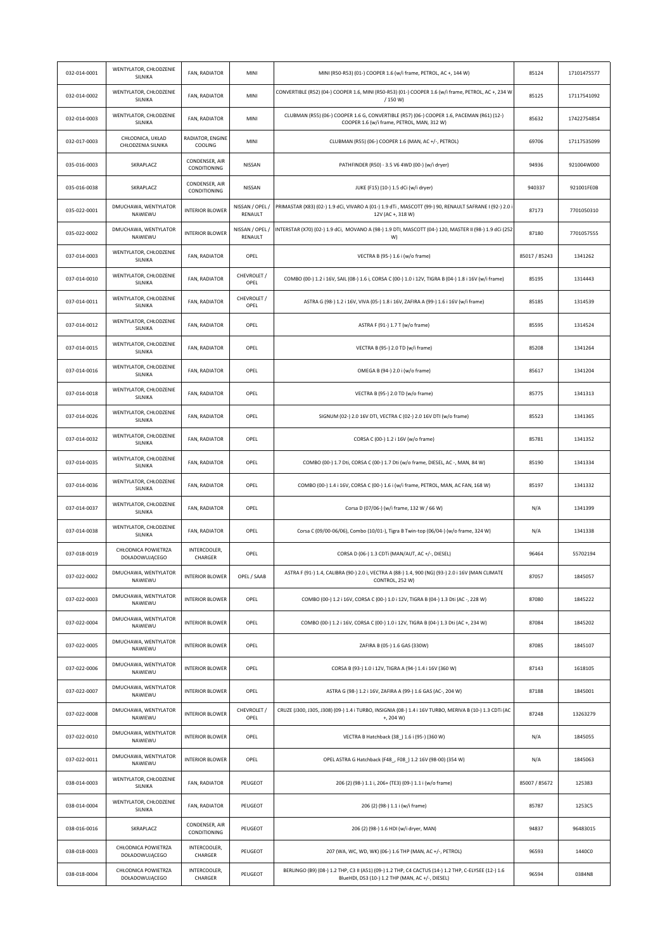| 032-014-0001 | WENTYLATOR, CHŁODZENIE<br>SILNIKA      | FAN, RADIATOR                  | MINI                       | MINI (R50-R53) (01-) COOPER 1.6 (w/i frame, PETROL, AC +, 144 W)                                                                                        | 85124         | 17101475577 |
|--------------|----------------------------------------|--------------------------------|----------------------------|---------------------------------------------------------------------------------------------------------------------------------------------------------|---------------|-------------|
| 032-014-0002 | WENTYLATOR, CHŁODZENIE<br>SILNIKA      | FAN, RADIATOR                  | MINI                       | CONVERTIBLE (R52) (04-) COOPER 1.6, MINI (R50-R53) (01-) COOPER 1.6 (w/i frame, PETROL, AC +, 234 W<br>/150 W                                           | 85125         | 17117541092 |
| 032-014-0003 | WENTYLATOR, CHŁODZENIE<br>SILNIKA      | FAN, RADIATOR                  | MINI                       | CLUBMAN (R55) (06-) COOPER 1.6 G, CONVERTIBLE (R57) (06-) COOPER 1.6, PACEMAN (R61) (12-)<br>COOPER 1.6 (w/i frame, PETROL, MAN, 312 W)                 | 85632         | 17422754854 |
| 032-017-0003 | CHŁODNICA, UKŁAD<br>CHŁODZENIA SILNIKA | RADIATOR, ENGINE<br>COOLING    | MINI                       | CLUBMAN (R55) (06-) COOPER 1.6 (MAN, AC +/-, PETROL)                                                                                                    | 69706         | 17117535099 |
| 035-016-0003 | SKRAPLACZ                              | CONDENSER, AIR<br>CONDITIONING | NISSAN                     | PATHFINDER (R50) - 3.5 V6 4WD (00-) (w/i dryer)                                                                                                         | 94936         | 921004W000  |
| 035-016-0038 | SKRAPLACZ                              | CONDENSER, AIR<br>CONDITIONING | NISSAN                     | JUKE (F15) (10-) 1.5 dCi (w/i dryer)                                                                                                                    | 940337        | 921001FE0B  |
| 035-022-0001 | DMUCHAWA, WENTYLATOR<br>NAWIEWU        | <b>INTERIOR BLOWER</b>         | NISSAN / OPEL /<br>RENAULT | PRIMASTAR (X83) (02-) 1.9 dCi, VIVARO A (01-) 1.9 dTi , MASCOTT (99-) 90, RENAULT SAFRANE I (92-) 2.0 i<br>12V (AC+, 318 W)                             | 87173         | 7701050310  |
| 035-022-0002 | DMUCHAWA, WENTYLATOR<br>NAWIEWU        | <b>INTERIOR BLOWER</b>         | NISSAN / OPEL /<br>RENAULT | INTERSTAR (X70) (02-) 1.9 dCi, MOVANO A (98-) 1.9 DTI, MASCOTT (04-) 120, MASTER II (98-) 1.9 dCi (252<br>W)                                            | 87180         | 7701057555  |
| 037-014-0003 | WENTYLATOR, CHŁODZENIE<br>SILNIKA      | FAN, RADIATOR                  | OPEL                       | VECTRA B (95-) 1.6 i (w/o frame)                                                                                                                        | 85017 / 85243 | 1341262     |
| 037-014-0010 | WENTYLATOR, CHŁODZENIE<br>SILNIKA      | FAN, RADIATOR                  | CHEVROLET /<br>OPEL        | COMBO (00-) 1.2 i 16V, SAIL (08-) 1.6 i, CORSA C (00-) 1.0 i 12V, TIGRA B (04-) 1.8 i 16V (w/i frame)                                                   | 85195         | 1314443     |
| 037-014-0011 | WENTYLATOR, CHŁODZENIE<br>SILNIKA      | FAN, RADIATOR                  | CHEVROLET /<br>OPEL        | ASTRA G (98-) 1.2 i 16V, VIVA (05-) 1.8 i 16V, ZAFIRA A (99-) 1.6 i 16V (w/i frame)                                                                     | 85185         | 1314539     |
| 037-014-0012 | WENTYLATOR, CHŁODZENIE<br>SILNIKA      | FAN, RADIATOR                  | OPEL                       | ASTRA F (91-) 1.7 T (w/o frame)                                                                                                                         | 85595         | 1314524     |
| 037-014-0015 | WENTYLATOR, CHŁODZENIE<br>SILNIKA      | FAN, RADIATOR                  | OPEL                       | VECTRA B (95-) 2.0 TD (w/i frame)                                                                                                                       | 85208         | 1341264     |
| 037-014-0016 | WENTYLATOR, CHŁODZENIE<br>SILNIKA      | FAN, RADIATOR                  | OPEL                       | OMEGA B (94-) 2.0 i (w/o frame)                                                                                                                         | 85617         | 1341204     |
| 037-014-0018 | WENTYLATOR, CHŁODZENIE<br>SILNIKA      | FAN, RADIATOR                  | OPEL                       | VECTRA B (95-) 2.0 TD (w/o frame)                                                                                                                       | 85775         | 1341313     |
| 037-014-0026 | WENTYLATOR, CHŁODZENIE<br>SILNIKA      | FAN, RADIATOR                  | OPEL                       | SIGNUM (02-) 2.0 16V DTI, VECTRA C (02-) 2.0 16V DTI (w/o frame)                                                                                        | 85523         | 1341365     |
| 037-014-0032 | WENTYLATOR, CHŁODZENIE<br>SILNIKA      | FAN, RADIATOR                  | OPEL                       | CORSA C (00-) 1.2 i 16V (w/o frame)                                                                                                                     | 85781         | 1341352     |
| 037-014-0035 | WENTYLATOR, CHŁODZENIE<br>SILNIKA      | FAN, RADIATOR                  | OPEL                       | COMBO (00-) 1.7 Dti, CORSA C (00-) 1.7 Dti (w/o frame, DIESEL, AC -, MAN, 84 W)                                                                         | 85190         | 1341334     |
| 037-014-0036 | WENTYLATOR, CHŁODZENIE<br>SILNIKA      | FAN, RADIATOR                  | OPEL                       | COMBO (00-) 1.4 i 16V, CORSA C (00-) 1.6 i (w/i frame, PETROL, MAN, AC FAN, 168 W)                                                                      | 85197         | 1341332     |
| 037-014-0037 | WENTYLATOR, CHŁODZENIE<br>SILNIKA      | FAN, RADIATOR                  | OPEL                       | Corsa D (07/06-) (w/i frame, 132 W / 66 W)                                                                                                              | N/A           | 1341399     |
| 037-014-0038 | WENTYLATOR, CHŁODZENIE<br>SILNIKA      | FAN, RADIATOR                  | OPEL                       | Corsa C (09/00-06/06), Combo (10/01-), Tigra B Twin-top (06/04-) (w/o frame, 324 W)                                                                     | N/A           | 1341338     |
| 037-018-0019 | CHŁODNICA POWIETRZA<br>DOŁADOWUJĄCEGO  | INTERCOOLER,<br>CHARGER        | OPEL                       | CORSA D (06-) 1.3 CDTi (MAN/AUT, AC +/-, DIESEL)                                                                                                        | 96464         | 55702194    |
| 037-022-0002 | DMUCHAWA, WENTYLATOR<br>NAWIEWU        | <b>INTERIOR BLOWER</b>         | OPEL / SAAB                | ASTRA F (91-) 1.4, CALIBRA (90-) 2.0 i, VECTRA A (88-) 1.4, 900 (NG) (93-) 2.0 i 16V (MAN CLIMATE<br>CONTROL, 252 W)                                    | 87057         | 1845057     |
| 037-022-0003 | DMUCHAWA, WENTYLATOR<br>NAWIEWU        | <b>INTERIOR BLOWER</b>         | OPEL                       | COMBO (00-) 1.2 i 16V, CORSA C (00-) 1.0 i 12V, TIGRA B (04-) 1.3 Dti (AC-, 228 W)                                                                      | 87080         | 1845222     |
| 037-022-0004 | DMUCHAWA, WENTYLATOR<br>NAWIEWU        | <b>INTERIOR BLOWER</b>         | OPEL                       | COMBO (00-) 1.2 i 16V, CORSA C (00-) 1.0 i 12V, TIGRA B (04-) 1.3 Dti (AC +, 234 W)                                                                     | 87084         | 1845202     |
| 037-022-0005 | DMUCHAWA, WENTYLATOR<br>NAWIEWU        | <b>INTERIOR BLOWER</b>         | OPEL                       | ZAFIRA B (05-) 1.6 GAS (330W)                                                                                                                           | 87085         | 1845107     |
| 037-022-0006 | DMUCHAWA, WENTYLATOR<br>NAWIEWU        | <b>INTERIOR BLOWER</b>         | OPEL                       | CORSA B (93-) 1.0 i 12V, TIGRA A (94-) 1.4 i 16V (360 W)                                                                                                | 87143         | 1618105     |
| 037-022-0007 | DMUCHAWA, WENTYLATOR<br>NAWIEWU        | <b>INTERIOR BLOWER</b>         | OPEL                       | ASTRA G (98-) 1.2 i 16V, ZAFIRA A (99-) 1.6 GAS (AC-, 204 W)                                                                                            | 87188         | 1845001     |
| 037-022-0008 | DMUCHAWA, WENTYLATOR<br>NAWIEWU        | <b>INTERIOR BLOWER</b>         | CHEVROLET /<br>OPEL        | CRUZE (J300, J305, J308) (09-) 1.4 i TURBO, INSIGNIA (08-) 1.4 i 16V TURBO, MERIVA B (10-) 1.3 CDTi (AC<br>$+, 204 W)$                                  | 87248         | 13263279    |
| 037-022-0010 | DMUCHAWA, WENTYLATOR<br>NAWIEWU        | <b>INTERIOR BLOWER</b>         | OPEL                       | VECTRA B Hatchback (38_) 1.6 i (95-) (360 W)                                                                                                            | N/A           | 1845055     |
| 037-022-0011 | DMUCHAWA, WENTYLATOR<br>NAWIEWU        | <b>INTERIOR BLOWER</b>         | OPEL                       | OPEL ASTRA G Hatchback (F48_, F08_) 1.2 16V (98-00) (354 W)                                                                                             | N/A           | 1845063     |
| 038-014-0003 | WENTYLATOR, CHŁODZENIE<br>SILNIKA      | FAN, RADIATOR                  | PEUGEOT                    | 206 (2) (98-) 1.1 i, 206+ (TE3) (09-) 1.1 i (w/o frame)                                                                                                 | 85007 / 85672 | 125383      |
| 038-014-0004 | WENTYLATOR, CHŁODZENIE<br>SILNIKA      | FAN, RADIATOR                  | PEUGEOT                    | 206 (2) (98-) 1.1 i (w/i frame)                                                                                                                         | 85787         | 1253C5      |
| 038-016-0016 | SKRAPLACZ                              | CONDENSER, AIR<br>CONDITIONING | PEUGEOT                    | 206 (2) (98-) 1.6 HDI (w/i dryer, MAN)                                                                                                                  | 94837         | 96483015    |
| 038-018-0003 | CHŁODNICA POWIETRZA<br>DOŁADOWUJĄCEGO  | INTERCOOLER,<br>CHARGER        | PEUGEOT                    | 207 (WA, WC, WD, WK) (06-) 1.6 THP (MAN, AC +/-, PETROL)                                                                                                | 96593         | 1440C0      |
| 038-018-0004 | CHŁODNICA POWIETRZA<br>DOŁADOWUJĄCEGO  | INTERCOOLER,<br>CHARGER        | PEUGEOT                    | BERLINGO (B9) (08-) 1.2 THP, C3 II (A51) (09-) 1.2 THP, C4 CACTUS (14-) 1.2 THP, C-ELYSEE (12-) 1.6<br>BlueHDI, DS3 (10-) 1.2 THP (MAN, AC +/-, DIESEL) | 96594         | 0384N8      |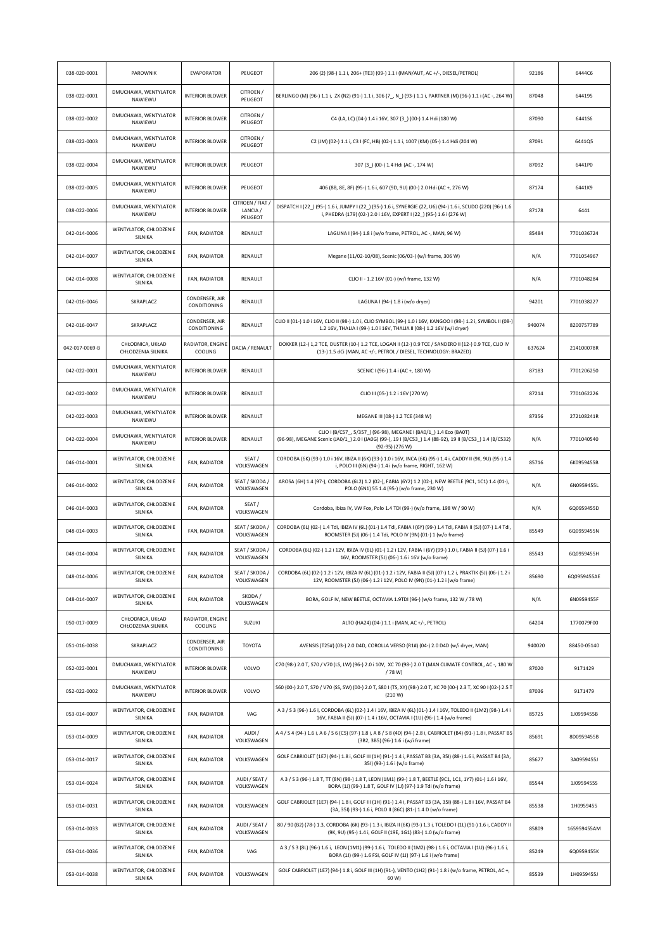| 038-020-0001   | PAROWNIK                               | <b>EVAPORATOR</b>              | PEUGEOT                                 | 206 (2) (98-) 1.1 i, 206+ (TE3) (09-) 1.1 i (MAN/AUT, AC +/-, DIESEL/PETROL)                                                                                                                       | 92186  | 6444C6      |
|----------------|----------------------------------------|--------------------------------|-----------------------------------------|----------------------------------------------------------------------------------------------------------------------------------------------------------------------------------------------------|--------|-------------|
| 038-022-0001   | DMUCHAWA, WENTYLATOR<br>NAWIEWU        | <b>INTERIOR BLOWER</b>         | CITROEN /<br>PEUGEOT                    | BERLINGO (M) (96-) 1.1 i, ZX (N2) (91-) 1.1 i, 306 (7 N ) (93-) 1.1 i, PARTNER (M) (96-) 1.1 i (AC-, 264 W)                                                                                        | 87048  | 644195      |
| 038-022-0002   | DMUCHAWA, WENTYLATOR<br>NAWIEWU        | <b>INTERIOR BLOWER</b>         | CITROEN /<br>PEUGEOT                    | C4 (LA, LC) (04-) 1.4 i 16V, 307 (3_) (00-) 1.4 Hdi (180 W)                                                                                                                                        | 87090  | 644156      |
| 038-022-0003   | DMUCHAWA, WENTYLATOR<br>NAWIEWU        | <b>INTERIOR BLOWER</b>         | CITROEN /<br>PEUGEOT                    | C2 (JM) (02-) 1.1 i, C3 I (FC, HB) (02-) 1.1 i, 1007 (KM) (05-) 1.4 Hdi (204 W)                                                                                                                    | 87091  | 6441Q5      |
| 038-022-0004   | DMUCHAWA, WENTYLATOR<br>NAWIEWU        | <b>INTERIOR BLOWER</b>         | PEUGEOT                                 | 307 (3_) (00-) 1.4 Hdi (AC-, 174 W)                                                                                                                                                                | 87092  | 6441P0      |
| 038-022-0005   | DMUCHAWA, WENTYLATOR<br>NAWIEWU        | <b>INTERIOR BLOWER</b>         | PEUGEOT                                 | 406 (8B, 8E, 8F) (95-) 1.6 i, 607 (9D, 9U) (00-) 2.0 Hdi (AC +, 276 W)                                                                                                                             | 87174  | 6441K9      |
| 038-022-0006   | DMUCHAWA, WENTYLATOR<br>NAWIEWU        | <b>INTERIOR BLOWER</b>         | CITROEN / FIAT /<br>LANCIA /<br>PEUGEOT | DISPATCH I (22_) (95-) 1.6 i, JUMPY I (22_) (95-) 1.6 i, SYNERGIE (22, U6) (94-) 1.6 i, SCUDO (220) (96-) 1.6<br>i, PHEDRA (179) (02-) 2.0 i 16V, EXPERT I (22_) (95-) 1.6 i (276 W)               | 87178  | 6441        |
| 042-014-0006   | WENTYLATOR, CHŁODZENIE<br>SILNIKA      | FAN, RADIATOR                  | RENAULT                                 | LAGUNA I (94-) 1.8 i (w/o frame, PETROL, AC -, MAN, 96 W)                                                                                                                                          | 85484  | 7701036724  |
| 042-014-0007   | WENTYLATOR, CHŁODZENIE<br>SILNIKA      | FAN, RADIATOR                  | RENAULT                                 | Megane (11/02-10/08), Scenic (06/03-) (w/i frame, 306 W)                                                                                                                                           | N/A    | 7701054967  |
| 042-014-0008   | WENTYLATOR, CHŁODZENIE<br>SILNIKA      | FAN, RADIATOR                  | RENAULT                                 | CLIO II - 1.2 16V (01-) (w/i frame, 132 W)                                                                                                                                                         | N/A    | 7701048284  |
| 042-016-0046   | SKRAPLACZ                              | CONDENSER, AIR<br>CONDITIONING | RENAULT                                 | LAGUNA I (94-) 1.8 i (w/o dryer)                                                                                                                                                                   | 94201  | 7701038227  |
| 042-016-0047   | SKRAPLACZ                              | CONDENSER, AIR<br>CONDITIONING | RENAULT                                 | CLIO II (01-) 1.0 i 16V, CLIO II (98-) 1.0 i, CLIO SYMBOL (99-) 1.0 i 16V, KANGOO I (98-) 1.2 i, SYMBOL II (08-)<br>1.2 16V, THALIA I (99-) 1.0 i 16V, THALIA II (08-) 1.2 16V (w/i dryer)         | 940074 | 8200757789  |
| 042-017-0069-B | CHŁODNICA, UKŁAD<br>CHŁODZENIA SILNIKA | RADIATOR, ENGINE<br>COOLING    | DACIA / RENAULT                         | DOKKER (12-) 1,2 TCE, DUSTER (10-) 1.2 TCE, LOGAN II (12-) 0.9 TCE / SANDERO II (12-) 0.9 TCE, CLIO IV<br>(13-) 1.5 dCi (MAN, AC +/-, PETROL / DIESEL, TECHNOLOGY: BRAZED)                         | 637624 | 214100078R  |
| 042-022-0001   | DMUCHAWA, WENTYLATOR<br>NAWIEWU        | <b>INTERIOR BLOWER</b>         | RENAULT                                 | SCENIC I (96-) 1.4 i (AC +, 180 W)                                                                                                                                                                 | 87183  | 7701206250  |
| 042-022-0002   | DMUCHAWA, WENTYLATOR<br>NAWIEWU        | <b>INTERIOR BLOWER</b>         | RENAULT                                 | CLIO III (05-) 1.2 i 16V (270 W)                                                                                                                                                                   | 87214  | 7701062226  |
| 042-022-0003   | DMUCHAWA, WENTYLATOR<br>NAWIEWU        | <b>INTERIOR BLOWER</b>         | RENAULT                                 | MEGANE III (08-) 1.2 TCE (348 W)                                                                                                                                                                   | 87356  | 272108241R  |
| 042-022-0004   | DMUCHAWA, WENTYLATOR<br>NAWIEWU        | <b>INTERIOR BLOWER</b>         | RENAULT                                 | CLIO I (B/C57_, 5/357_) (96-98), MEGANE I (BA0/1_) 1.4 Eco (BA0T)<br>(96-98), MEGANE Scenic (JA0/1_) 2.0 i (JA0G) (99-), 19 I (B/C53_) 1.4 (88-92), 19 II (B/C53_) 1.4 (B/C532)<br>(92-95) (276 W) | N/A    | 7701040540  |
| 046-014-0001   | WENTYLATOR, CHŁODZENIE<br>SILNIKA      | FAN, RADIATOR                  | SEAT/<br>VOLKSWAGEN                     | CORDOBA (6K) (93-) 1.0 i 16V, IBIZA II (6K) (93-) 1.0 i 16V, INCA (6K) (95-) 1.4 i, CADDY II (9K, 9U) (95-) 1.4<br>i, POLO III (6N) (94-) 1.4 i (w/o frame, RIGHT, 162 W)                          | 85716  | 6K0959455B  |
| 046-014-0002   | WENTYLATOR, CHŁODZENIE<br>SILNIKA      | FAN, RADIATOR                  | SEAT / SKODA /<br>VOLKSWAGEN            | AROSA (6H) 1.4 (97-), CORDOBA (6L2) 1.2 (02-), FABIA (6Y2) 1.2 (02-), NEW BEETLE (9C1, 1C1) 1.4 (01-),<br>POLO (6N1) 55 1.4 (95-) (w/o frame, 230 W)                                               | N/A    | 6N0959455L  |
| 046-014-0003   | WENTYLATOR, CHŁODZENIE<br>SILNIKA      | FAN, RADIATOR                  | SEAT/<br>VOLKSWAGEN                     | Cordoba, Ibiza IV, VW Fox, Polo 1.4 TDI (99-) (w/o frame, 198 W / 90 W)                                                                                                                            | N/A    | 6Q0959455D  |
| 048-014-0003   | WENTYLATOR, CHŁODZENIE<br>SILNIKA      | FAN, RADIATOR                  | SEAT / SKODA /<br>VOLKSWAGEN            | CORDOBA (6L) (02-) 1.4 Tdi, IBIZA IV (6L) (01-) 1.4 Tdi, FABIA I (6Y) (99-) 1.4 Tdi, FABIA II (5J) (07-) 1.4 Tdi,<br>ROOMSTER (5J) (06-) 1.4 Tdi, POLO IV (9N) (01-) 1 (w/o frame)                 | 85549  | 6Q0959455N  |
| 048-014-0004   | WENTYLATOR, CHŁODZENIE<br>SILNIKA      | FAN, RADIATOR                  | SEAT / SKODA /<br>VOLKSWAGEN            | CORDOBA (6L) (02-) 1.2 i 12V, IBIZA IV (6L) (01-) 1.2 i 12V, FABIA I (6Y) (99-) 1.0 i, FABIA II (5J) (07-) 1.6 i<br>16V, ROOMSTER (5J) (06-) 1.6 i 16V (w/o frame)                                 | 85543  | 6Q0959455H  |
| 048-014-0006   | WENTYLATOR, CHŁODZENIE<br>SILNIKA      | FAN, RADIATOR                  | SEAT / SKODA /<br>VOLKSWAGEN            | CORDOBA (6L) (02-) 1.2 i 12V, IBIZA IV (6L) (01-) 1.2 i 12V, FABIA II (5J) (07-) 1.2 i, PRAKTIK (5J) (06-) 1.2 i<br>12V, ROOMSTER (5J) (06-) 1.2 i 12V, POLO IV (9N) (01-) 1.2 i (w/o frame)       | 85690  | 6Q0959455AE |
| 048-014-0007   | WENTYLATOR, CHŁODZENIE<br>SILNIKA      | FAN, RADIATOR                  | SKODA/<br>VOLKSWAGEN                    | BORA, GOLF IV, NEW BEETLE, OCTAVIA 1.9TDI (96-) (w/o frame, 132 W / 78 W)                                                                                                                          | N/A    | 6N0959455F  |
| 050-017-0009   | CHŁODNICA, UKŁAD<br>CHŁODZENIA SILNIKA | RADIATOR, ENGINE<br>COOLING    | SUZUKI                                  | ALTO (HA24) (04-) 1.1 i (MAN, AC +/-, PETROL)                                                                                                                                                      | 64204  | 1770079F00  |
| 051-016-0038   | SKRAPLACZ                              | CONDENSER, AIR<br>CONDITIONING | <b>TOYOTA</b>                           | AVENSIS (T25#) (03-) 2.0 D4D, COROLLA VERSO (R1#) (04-) 2.0 D4D (w/i dryer, MAN)                                                                                                                   | 940020 | 88450-05140 |
| 052-022-0001   | DMUCHAWA, WENTYLATOR<br>NAWIEWU        | <b>INTERIOR BLOWER</b>         | VOLVO                                   | C70 (98-) 2.0 T, S70 / V70 (LS, LW) (96-) 2.0 i 10V, XC 70 (98-) 2.0 T (MAN CLIMATE CONTROL, AC -, 180 W<br>/78 W)                                                                                 | 87020  | 9171429     |
| 052-022-0002   | DMUCHAWA, WENTYLATOR<br>NAWIEWU        | <b>INTERIOR BLOWER</b>         | VOLVO                                   | S60 (00-) 2.0 T, S70 / V70 (SS, SW) (00-) 2.0 T, S80 I (TS, XY) (98-) 2.0 T, XC 70 (00-) 2.3 T, XC 90 I (02-) 2.5 T<br>(210 W)                                                                     | 87036  | 9171479     |
| 053-014-0007   | WENTYLATOR, CHŁODZENIE<br>SILNIKA      | FAN, RADIATOR                  | VAG                                     | A 3 / S 3 (96-) 1.6 i, CORDOBA (6L) (02-) 1.4 i 16V, IBIZA IV (6L) (01-) 1.4 i 16V, TOLEDO II (1M2) (98-) 1.4 i<br>16V, FABIA II (5J) (07-) 1.4 i 16V, OCTAVIA I (1U) (96-) 1.4 (w/o frame)        | 85725  | 1J0959455B  |
| 053-014-0009   | WENTYLATOR, CHŁODZENIE<br>SILNIKA      | FAN, RADIATOR                  | AUDI/<br>VOLKSWAGEN                     | A 4 / S 4 (94-) 1.6 i, A 6 / S 6 (C5) (97-) 1.8 i, A 8 / S 8 (4D) (94-) 2.8 i, CABRIOLET (B4) (91-) 1.8 i, PASSAT B5<br>(3B2, 3B5) (96-) 1.6 i (w/i frame)                                         | 85691  | 8D0959455B  |
| 053-014-0017   | WENTYLATOR, CHŁODZENIE<br>SILNIKA      | FAN, RADIATOR                  | VOLKSWAGEN                              | GOLF CABRIOLET (1E7) (94-) 1.8 i, GOLF III (1H) (91-) 1.4 i, PASSAT B3 (3A, 35I) (88-) 1.6 i, PASSAT B4 (3A,<br>35I) (93-) 1.6 i (w/o frame)                                                       | 85677  | 3A0959455J  |
| 053-014-0024   | WENTYLATOR, CHŁODZENIE<br>SILNIKA      | FAN, RADIATOR                  | AUDI / SEAT /<br>VOLKSWAGEN             | A 3 / S 3 (96-) 1.8 T, TT (8N) (98-) 1.8 T, LEON (1M1) (99-) 1.8 T, BEETLE (9C1, 1C1, 1Y7) (01-) 1.6 i 16V,<br>BORA (1J) (99-) 1.8 T, GOLF IV (1J) (97-) 1.9 Tdi (w/o frame)                       | 85544  | 1J0959455S  |
| 053-014-0031   | WENTYLATOR, CHŁODZENIE<br>SILNIKA      | FAN, RADIATOR                  | VOLKSWAGEN                              | GOLF CABRIOLET (1E7) (94-) 1.8 i, GOLF III (1H) (91-) 1.4 i, PASSAT B3 (3A, 35I) (88-) 1.8 i 16V, PASSAT B4<br>(3A, 35I) (93-) 1.6 i, POLO II (86C) (81-) 1.4 D (w/o frame)                        | 85538  | 1H0959455   |
| 053-014-0033   | WENTYLATOR, CHŁODZENIE<br>SILNIKA      | FAN, RADIATOR                  | AUDI / SEAT /<br>VOLKSWAGEN             | 80 / 90 (B2) (78-) 1.3, CORDOBA (6K) (93-) 1.3 i, IBIZA II (6K) (93-) 1.3 i, TOLEDO I (1L) (91-) 1.6 i, CADDY II<br>(9K, 9U) (95-) 1.4 i, GOLF II (19E, 1G1) (83-) 1.0 (w/o frame)                 | 85809  | 165959455AM |
| 053-014-0036   | WENTYLATOR, CHŁODZENIE<br>SILNIKA      | FAN, RADIATOR                  | VAG                                     | A 3 / S 3 (8L) (96-) 1.6 i, LEON (1M1) (99-) 1.6 i, TOLEDO II (1M2) (98-) 1.6 i, OCTAVIA I (1U) (96-) 1.6 i,<br>BORA (1J) (99-) 1.6 FSI, GOLF IV (1J) (97-) 1.6 i (w/o frame)                      | 85249  | 6Q0959455K  |
| 053-014-0038   | WENTYLATOR, CHŁODZENIE<br>SILNIKA      | FAN, RADIATOR                  | VOLKSWAGEN                              | GOLF CABRIOLET (1E7) (94-) 1.8 i, GOLF III (1H) (91-), VENTO (1H2) (91-) 1.8 i (w/o frame, PETROL, AC +,<br>60 W)                                                                                  | 85539  | 1H0959455J  |